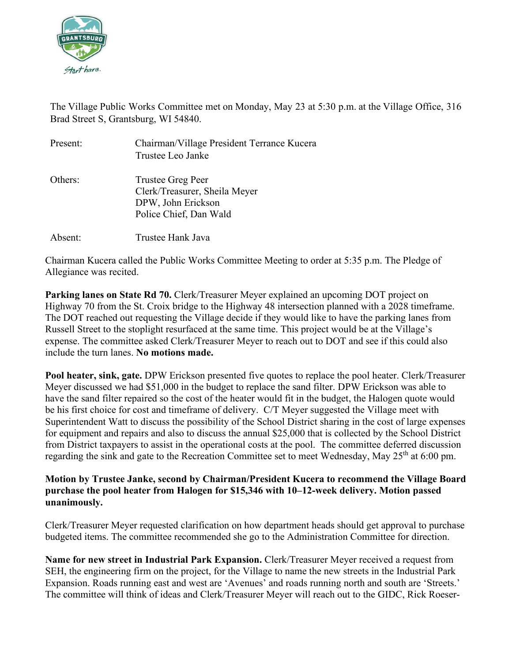

The Village Public Works Committee met on Monday, May 23 at 5:30 p.m. at the Village Office, 316 Brad Street S, Grantsburg, WI 54840.

| Present: | Chairman/Village President Terrance Kucera<br>Trustee Leo Janke                                    |
|----------|----------------------------------------------------------------------------------------------------|
| Others:  | Trustee Greg Peer<br>Clerk/Treasurer, Sheila Meyer<br>DPW, John Erickson<br>Police Chief, Dan Wald |
| Absent:  | Trustee Hank Java                                                                                  |

Chairman Kucera called the Public Works Committee Meeting to order at 5:35 p.m. The Pledge of Allegiance was recited.

**Parking lanes on State Rd 70.** Clerk/Treasurer Meyer explained an upcoming DOT project on Highway 70 from the St. Croix bridge to the Highway 48 intersection planned with a 2028 timeframe. The DOT reached out requesting the Village decide if they would like to have the parking lanes from Russell Street to the stoplight resurfaced at the same time. This project would be at the Village's expense. The committee asked Clerk/Treasurer Meyer to reach out to DOT and see if this could also include the turn lanes. **No motions made.**

**Pool heater, sink, gate.** DPW Erickson presented five quotes to replace the pool heater. Clerk/Treasurer Meyer discussed we had \$51,000 in the budget to replace the sand filter. DPW Erickson was able to have the sand filter repaired so the cost of the heater would fit in the budget, the Halogen quote would be his first choice for cost and timeframe of delivery. C/T Meyer suggested the Village meet with Superintendent Watt to discuss the possibility of the School District sharing in the cost of large expenses for equipment and repairs and also to discuss the annual \$25,000 that is collected by the School District from District taxpayers to assist in the operational costs at the pool. The committee deferred discussion regarding the sink and gate to the Recreation Committee set to meet Wednesday, May 25<sup>th</sup> at 6:00 pm.

## **Motion by Trustee Janke, second by Chairman/President Kucera to recommend the Village Board purchase the pool heater from Halogen for \$15,346 with 10–12-week delivery. Motion passed unanimously.**

Clerk/Treasurer Meyer requested clarification on how department heads should get approval to purchase budgeted items. The committee recommended she go to the Administration Committee for direction.

**Name for new street in Industrial Park Expansion.** Clerk/Treasurer Meyer received a request from SEH, the engineering firm on the project, for the Village to name the new streets in the Industrial Park Expansion. Roads running east and west are 'Avenues' and roads running north and south are 'Streets.' The committee will think of ideas and Clerk/Treasurer Meyer will reach out to the GIDC, Rick Roeser-